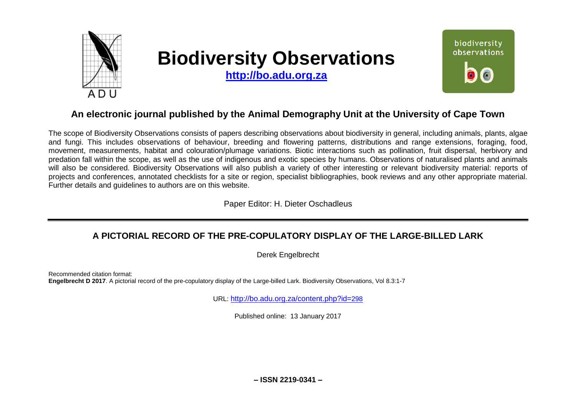

# **Biodiversity Observations**

**[http://bo.adu.org.za](http://bo.adu.org.za/)**



# **An electronic journal published by the Animal Demography Unit at the University of Cape Town**

The scope of Biodiversity Observations consists of papers describing observations about biodiversity in general, including animals, plants, algae and fungi. This includes observations of behaviour, breeding and flowering patterns, distributions and range extensions, foraging, food, movement, measurements, habitat and colouration/plumage variations. Biotic interactions such as pollination, fruit dispersal, herbivory and predation fall within the scope, as well as the use of indigenous and exotic species by humans. Observations of naturalised plants and animals will also be considered. Biodiversity Observations will also publish a variety of other interesting or relevant biodiversity material: reports of projects and conferences, annotated checklists for a site or region, specialist bibliographies, book reviews and any other appropriate material. Further details and guidelines to authors are on this website.

Paper Editor: H. Dieter Oschadleus

## **A PICTORIAL RECORD OF THE PRE-COPULATORY DISPLAY OF THE LARGE-BILLED LARK**

Derek Engelbrecht

Recommended citation format: **Engelbrecht D 2017**. A pictorial record of the pre-copulatory display of the Large-billed Lark. Biodiversity Observations, Vol 8.3:1-7

URL: [http://bo.adu.org.za/content.php?id=](http://bo.adu.org.za/content.php?id=298)298

Published online: 13 January 2017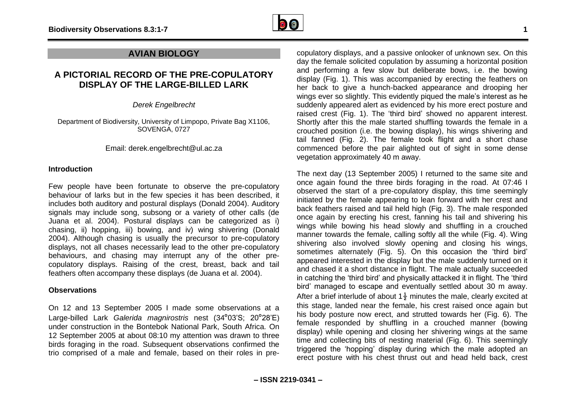

## **AVIAN BIOLOGY**

## **A PICTORIAL RECORD OF THE PRE-COPULATORY DISPLAY OF THE LARGE-BILLED LARK**

*Derek Engelbrecht*

Department of Biodiversity, University of Limpopo, Private Bag X1106, SOVENGA, 0727

Email: derek.engelbrecht@ul.ac.za

#### **Introduction**

Few people have been fortunate to observe the pre-copulatory behaviour of larks but in the few species it has been described, it includes both auditory and postural displays (Donald 2004). Auditory signals may include song, subsong or a variety of other calls (de Juana et al. 2004). Postural displays can be categorized as i) chasing, ii) hopping, iii) bowing, and iv) wing shivering (Donald 2004). Although chasing is usually the precursor to pre-copulatory displays, not all chases necessarily lead to the other pre-copulatory behaviours, and chasing may interrupt any of the other precopulatory displays. Raising of the crest, breast, back and tail feathers often accompany these displays (de Juana et al. 2004).

## **Observations**

On 12 and 13 September 2005 I made some observations at a Large-billed Lark *Galerida magnirostris* nest (34°03'S; 20°28'E) under construction in the Bontebok National Park, South Africa. On 12 September 2005 at about 08:10 my attention was drawn to three birds foraging in the road. Subsequent observations confirmed the trio comprised of a male and female, based on their roles in pre-

copulatory displays, and a passive onlooker of unknown sex. On this day the female solicited copulation by assuming a horizontal position and performing a few slow but deliberate bows, i.e. the bowing display (Fig. 1). This was accompanied by erecting the feathers on her back to give a hunch-backed appearance and drooping her wings ever so slightly. This evidently piqued the male's interest as he suddenly appeared alert as evidenced by his more erect posture and raised crest (Fig. 1). The 'third bird' showed no apparent interest. Shortly after this the male started shuffling towards the female in a crouched position (i.e. the bowing display), his wings shivering and tail fanned (Fig. 2). The female took flight and a short chase commenced before the pair alighted out of sight in some dense vegetation approximately 40 m away.

The next day (13 September 2005) I returned to the same site and once again found the three birds foraging in the road. At 07:46 I observed the start of a pre-copulatory display, this time seemingly initiated by the female appearing to lean forward with her crest and back feathers raised and tail held high (Fig. 3). The male responded once again by erecting his crest, fanning his tail and shivering his wings while bowing his head slowly and shuffling in a crouched manner towards the female, calling softly all the while (Fig. 4). Wing shivering also involved slowly opening and closing his wings, sometimes alternately (Fig. 5). On this occasion the 'third bird' appeared interested in the display but the male suddenly turned on it and chased it a short distance in flight. The male actually succeeded in catching the 'third bird' and physically attacked it in flight. The 'third bird' managed to escape and eventually settled about 30 m away. After a brief interlude of about  $1\frac{1}{2}$  minutes the male, clearly excited at this stage, landed near the female, his crest raised once again but his body posture now erect, and strutted towards her (Fig. 6). The female responded by shuffling in a crouched manner (bowing display) while opening and closing her shivering wings at the same time and collecting bits of nesting material (Fig. 6). This seemingly triggered the 'hopping' display during which the male adopted an erect posture with his chest thrust out and head held back, crest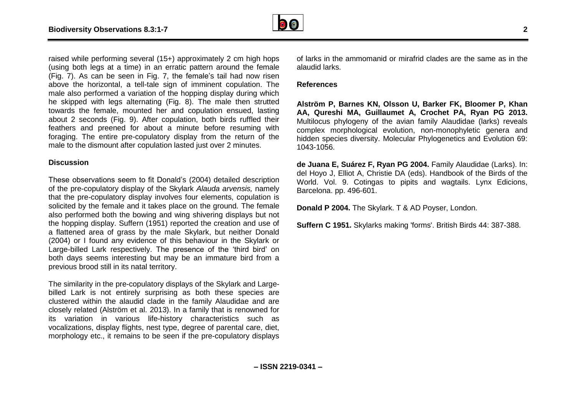

raised while performing several (15+) approximately 2 cm high hops (using both legs at a time) in an erratic pattern around the female (Fig. 7). As can be seen in Fig. 7, the female's tail had now risen above the horizontal, a tell-tale sign of imminent copulation. The male also performed a variation of the hopping display during which he skipped with legs alternating (Fig. 8). The male then strutted towards the female, mounted her and copulation ensued, lasting about 2 seconds (Fig. 9). After copulation, both birds ruffled their feathers and preened for about a minute before resuming with foraging. The entire pre-copulatory display from the return of the male to the dismount after copulation lasted just over 2 minutes.

#### **Discussion**

These observations seem to fit Donald's (2004) detailed description of the pre-copulatory display of the Skylark *Alauda arvensis,* namely that the pre-copulatory display involves four elements, copulation is solicited by the female and it takes place on the ground*.* The female also performed both the bowing and wing shivering displays but not the hopping display. Suffern (1951) reported the creation and use of a flattened area of grass by the male Skylark, but neither Donald (2004) or I found any evidence of this behaviour in the Skylark or Large-billed Lark respectively. The presence of the 'third bird' on both days seems interesting but may be an immature bird from a previous brood still in its natal territory.

The similarity in the pre-copulatory displays of the Skylark and Largebilled Lark is not entirely surprising as both these species are clustered within the alaudid clade in the family Alaudidae and are closely related (Alström et al. 2013). In a family that is renowned for its variation in various life-history characteristics such as vocalizations, display flights, nest type, degree of parental care, diet, morphology etc., it remains to be seen if the pre-copulatory displays

of larks in the ammomanid or mirafrid clades are the same as in the alaudid larks.

## **References**

**Alström P, Barnes KN, Olsson U, Barker FK, Bloomer P, Khan AA, Qureshi MA, Guillaumet A, Crochet PA, Ryan PG 2013.** Multilocus phylogeny of the avian family Alaudidae (larks) reveals complex morphological evolution, non-monophyletic genera and hidden species diversity. Molecular Phylogenetics and Evolution 69: 1043-1056.

**de Juana E, Suárez F, Ryan PG 2004.** Family Alaudidae (Larks). In: del Hoyo J, Elliot A, Christie DA (eds). Handbook of the Birds of the World. Vol. 9. Cotingas to pipits and wagtails. Lynx Edicions, Barcelona. pp. 496-601.

**Donald P 2004.** The Skylark. T & AD Poyser, London.

**Suffern C 1951.** Skylarks making 'forms'. British Birds 44: 387-388.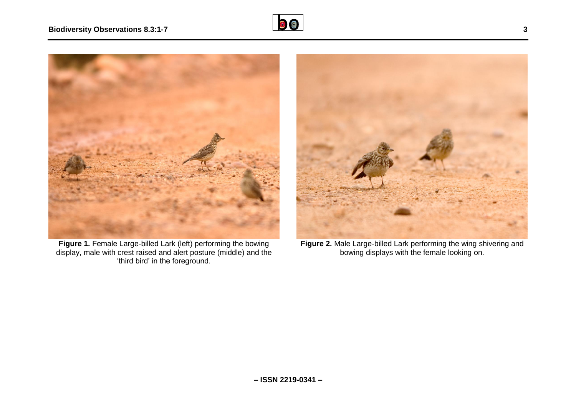



**Figure 1.** Female Large-billed Lark (left) performing the bowing display, male with crest raised and alert posture (middle) and the 'third bird' in the foreground.



**Figure 2.** Male Large-billed Lark performing the wing shivering and bowing displays with the female looking on.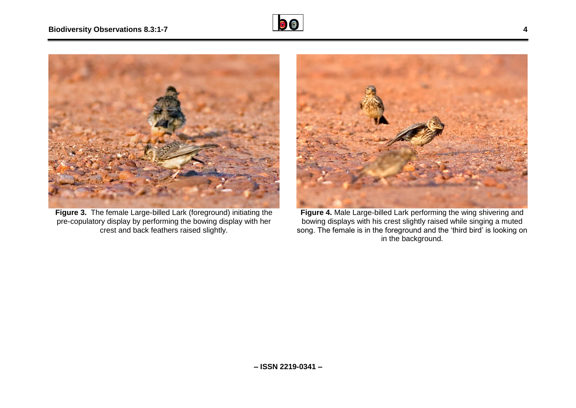



**Figure 3.** The female Large-billed Lark (foreground) initiating the pre-copulatory display by performing the bowing display with her crest and back feathers raised slightly.



**Figure 4.** Male Large-billed Lark performing the wing shivering and bowing displays with his crest slightly raised while singing a muted song. The female is in the foreground and the 'third bird' is looking on in the background.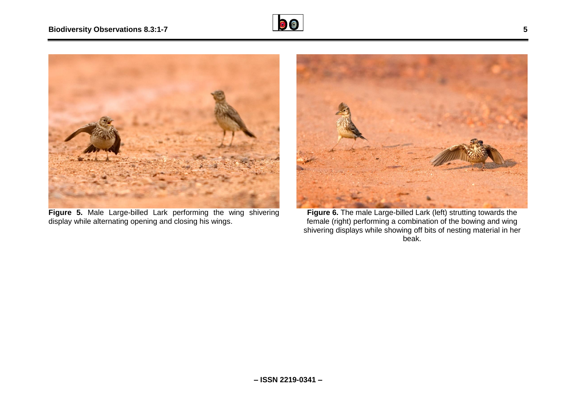



**Figure 5.** Male Large-billed Lark performing the wing shivering display while alternating opening and closing his wings.



**Figure 6.** The male Large-billed Lark (left) strutting towards the female (right) performing a combination of the bowing and wing shivering displays while showing off bits of nesting material in her beak.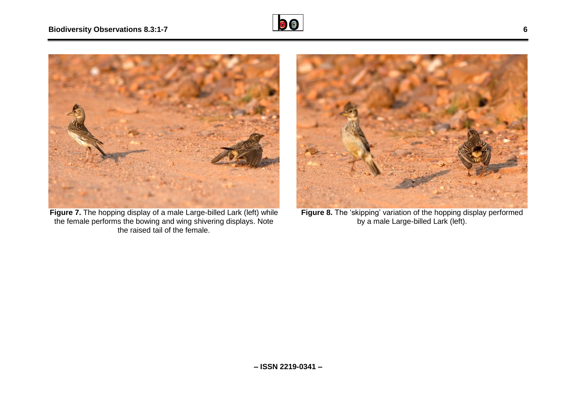



**Figure 7.** The hopping display of a male Large-billed Lark (left) while the female performs the bowing and wing shivering displays. Note the raised tail of the female.



**Figure 8.** The 'skipping' variation of the hopping display performed by a male Large-billed Lark (left).